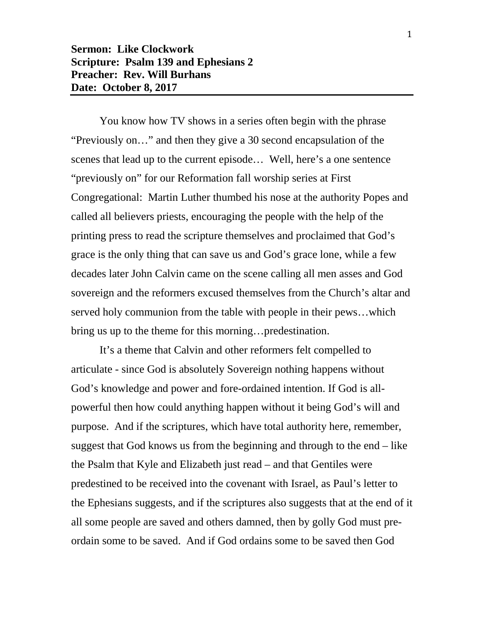## **Sermon: Like Clockwork Scripture: Psalm 139 and Ephesians 2 Preacher: Rev. Will Burhans Date: October 8, 2017**

You know how TV shows in a series often begin with the phrase "Previously on…" and then they give a 30 second encapsulation of the scenes that lead up to the current episode… Well, here's a one sentence "previously on" for our Reformation fall worship series at First Congregational: Martin Luther thumbed his nose at the authority Popes and called all believers priests, encouraging the people with the help of the printing press to read the scripture themselves and proclaimed that God's grace is the only thing that can save us and God's grace lone, while a few decades later John Calvin came on the scene calling all men asses and God sovereign and the reformers excused themselves from the Church's altar and served holy communion from the table with people in their pews…which bring us up to the theme for this morning…predestination.

It's a theme that Calvin and other reformers felt compelled to articulate - since God is absolutely Sovereign nothing happens without God's knowledge and power and fore-ordained intention. If God is allpowerful then how could anything happen without it being God's will and purpose. And if the scriptures, which have total authority here, remember, suggest that God knows us from the beginning and through to the end – like the Psalm that Kyle and Elizabeth just read – and that Gentiles were predestined to be received into the covenant with Israel, as Paul's letter to the Ephesians suggests, and if the scriptures also suggests that at the end of it all some people are saved and others damned, then by golly God must preordain some to be saved. And if God ordains some to be saved then God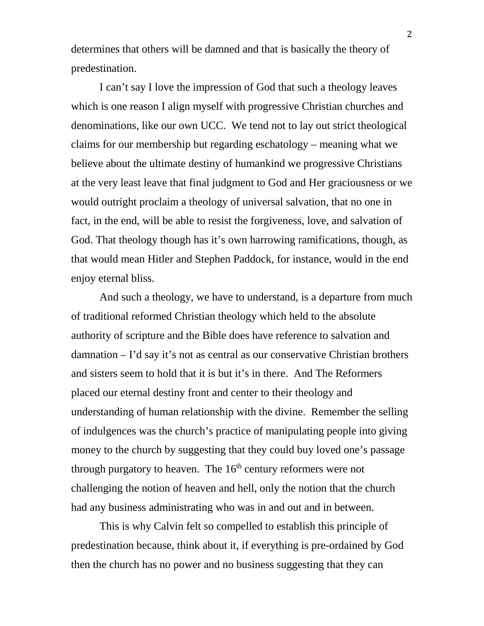determines that others will be damned and that is basically the theory of predestination.

I can't say I love the impression of God that such a theology leaves which is one reason I align myself with progressive Christian churches and denominations, like our own UCC. We tend not to lay out strict theological claims for our membership but regarding eschatology – meaning what we believe about the ultimate destiny of humankind we progressive Christians at the very least leave that final judgment to God and Her graciousness or we would outright proclaim a theology of universal salvation, that no one in fact, in the end, will be able to resist the forgiveness, love, and salvation of God. That theology though has it's own harrowing ramifications, though, as that would mean Hitler and Stephen Paddock, for instance, would in the end enjoy eternal bliss.

And such a theology, we have to understand, is a departure from much of traditional reformed Christian theology which held to the absolute authority of scripture and the Bible does have reference to salvation and damnation – I'd say it's not as central as our conservative Christian brothers and sisters seem to hold that it is but it's in there. And The Reformers placed our eternal destiny front and center to their theology and understanding of human relationship with the divine. Remember the selling of indulgences was the church's practice of manipulating people into giving money to the church by suggesting that they could buy loved one's passage through purgatory to heaven. The  $16<sup>th</sup>$  century reformers were not challenging the notion of heaven and hell, only the notion that the church had any business administrating who was in and out and in between.

This is why Calvin felt so compelled to establish this principle of predestination because, think about it, if everything is pre-ordained by God then the church has no power and no business suggesting that they can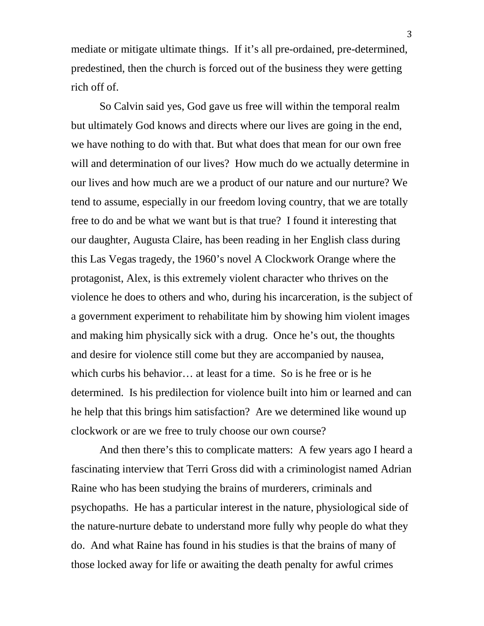mediate or mitigate ultimate things. If it's all pre-ordained, pre-determined, predestined, then the church is forced out of the business they were getting rich off of.

So Calvin said yes, God gave us free will within the temporal realm but ultimately God knows and directs where our lives are going in the end, we have nothing to do with that. But what does that mean for our own free will and determination of our lives? How much do we actually determine in our lives and how much are we a product of our nature and our nurture? We tend to assume, especially in our freedom loving country, that we are totally free to do and be what we want but is that true? I found it interesting that our daughter, Augusta Claire, has been reading in her English class during this Las Vegas tragedy, the 1960's novel A Clockwork Orange where the protagonist, Alex, is this extremely violent character who thrives on the violence he does to others and who, during his incarceration, is the subject of a government experiment to rehabilitate him by showing him violent images and making him physically sick with a drug. Once he's out, the thoughts and desire for violence still come but they are accompanied by nausea, which curbs his behavior… at least for a time. So is he free or is he determined. Is his predilection for violence built into him or learned and can he help that this brings him satisfaction? Are we determined like wound up clockwork or are we free to truly choose our own course?

And then there's this to complicate matters: A few years ago I heard a fascinating interview that Terri Gross did with a criminologist named Adrian Raine who has been studying the brains of murderers, criminals and psychopaths. He has a particular interest in the nature, physiological side of the nature-nurture debate to understand more fully why people do what they do. And what Raine has found in his studies is that the brains of many of those locked away for life or awaiting the death penalty for awful crimes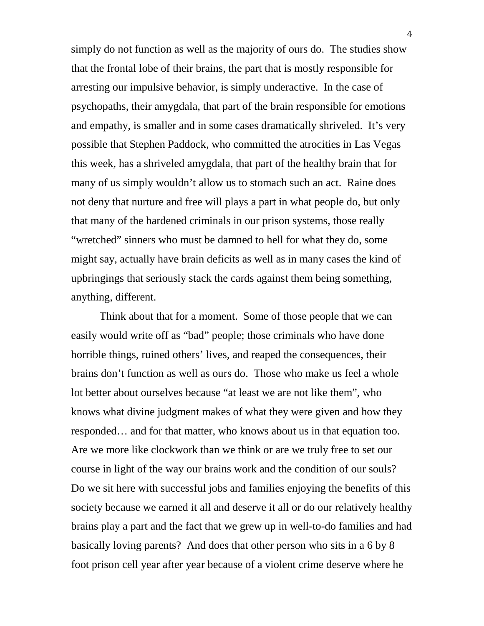simply do not function as well as the majority of ours do. The studies show that the frontal lobe of their brains, the part that is mostly responsible for arresting our impulsive behavior, is simply underactive. In the case of psychopaths, their amygdala, that part of the brain responsible for emotions and empathy, is smaller and in some cases dramatically shriveled. It's very possible that Stephen Paddock, who committed the atrocities in Las Vegas this week, has a shriveled amygdala, that part of the healthy brain that for many of us simply wouldn't allow us to stomach such an act. Raine does not deny that nurture and free will plays a part in what people do, but only that many of the hardened criminals in our prison systems, those really "wretched" sinners who must be damned to hell for what they do, some might say, actually have brain deficits as well as in many cases the kind of upbringings that seriously stack the cards against them being something, anything, different.

Think about that for a moment. Some of those people that we can easily would write off as "bad" people; those criminals who have done horrible things, ruined others' lives, and reaped the consequences, their brains don't function as well as ours do. Those who make us feel a whole lot better about ourselves because "at least we are not like them", who knows what divine judgment makes of what they were given and how they responded… and for that matter, who knows about us in that equation too. Are we more like clockwork than we think or are we truly free to set our course in light of the way our brains work and the condition of our souls? Do we sit here with successful jobs and families enjoying the benefits of this society because we earned it all and deserve it all or do our relatively healthy brains play a part and the fact that we grew up in well-to-do families and had basically loving parents? And does that other person who sits in a 6 by 8 foot prison cell year after year because of a violent crime deserve where he